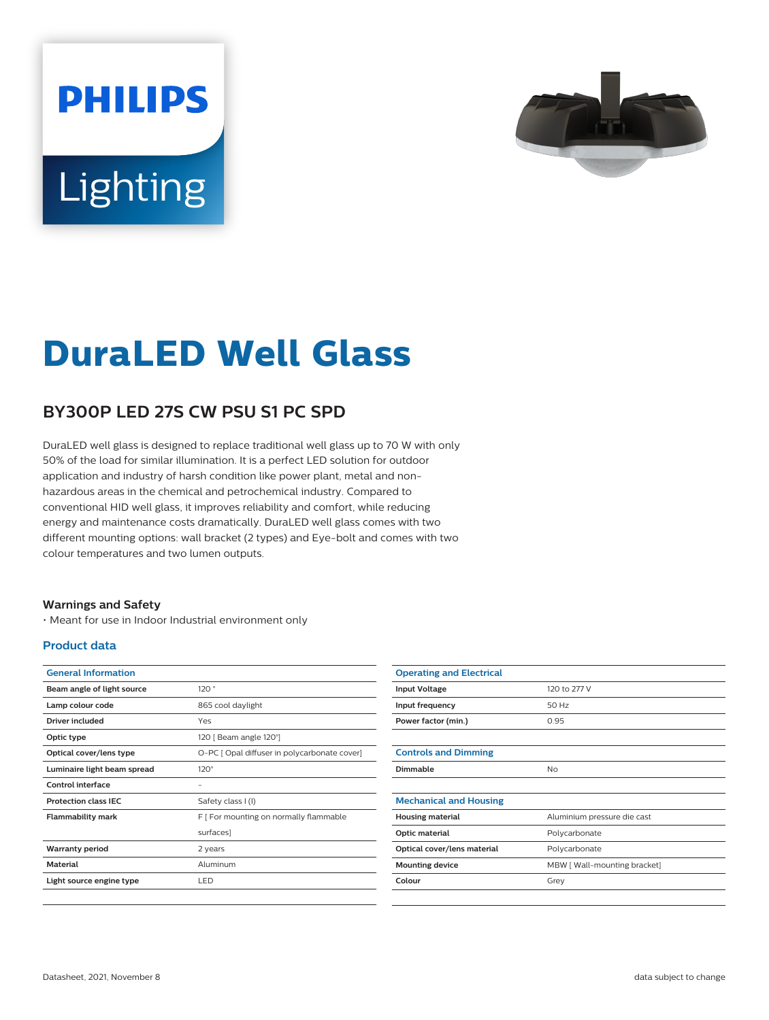# **PHILIPS Lighting**



## **DuraLED Well Glass**

### **BY300P LED 27S CW PSU S1 PC SPD**

DuraLED well glass is designed to replace traditional well glass up to 70 W with only 50% of the load for similar illumination. It is a perfect LED solution for outdoor application and industry of harsh condition like power plant, metal and nonhazardous areas in the chemical and petrochemical industry. Compared to conventional HID well glass, it improves reliability and comfort, while reducing energy and maintenance costs dramatically. DuraLED well glass comes with two different mounting options: wall bracket (2 types) and Eye-bolt and comes with two colour temperatures and two lumen outputs.

#### **Warnings and Safety**

• Meant for use in Indoor Industrial environment only

#### **Product data**

| <b>General Information</b>  |                                              |
|-----------------------------|----------------------------------------------|
| Beam angle of light source  | 120°                                         |
| Lamp colour code            | 865 cool daylight                            |
| Driver included             | Yes                                          |
| Optic type                  | 120   Beam angle 120°]                       |
| Optical cover/lens type     | O-PC [ Opal diffuser in polycarbonate cover] |
| Luminaire light beam spread | $120^\circ$                                  |
| Control interface           |                                              |
| <b>Protection class IEC</b> | Safety class I (I)                           |
| Flammability mark           | F [ For mounting on normally flammable       |
|                             | surfaces]                                    |
| <b>Warranty period</b>      | 2 years                                      |
| <b>Material</b>             | Aluminum                                     |
| Light source engine type    | LED                                          |
|                             |                                              |

| <b>Operating and Electrical</b> |                              |
|---------------------------------|------------------------------|
| <b>Input Voltage</b>            | 120 to 277 V                 |
| Input frequency                 | 50 Hz                        |
| Power factor (min.)             | 0.95                         |
|                                 |                              |
| <b>Controls and Dimming</b>     |                              |
| Dimmable                        | No                           |
|                                 |                              |
| <b>Mechanical and Housing</b>   |                              |
| <b>Housing material</b>         | Aluminium pressure die cast  |
| Optic material                  | Polycarbonate                |
| Optical cover/lens material     | Polycarbonate                |
| <b>Mounting device</b>          | MBW [ Wall-mounting bracket] |
| Colour                          | Grey                         |
|                                 |                              |